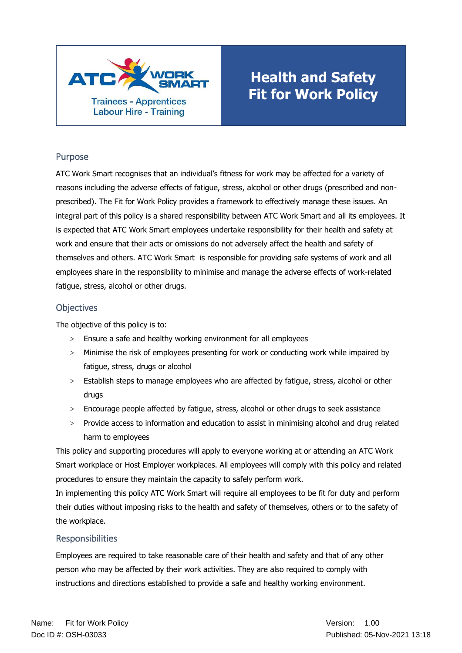

# **Health and Safety Fit for Work Policy**

#### Purpose

ATC Work Smart recognises that an individual's fitness for work may be affected for a variety of reasons including the adverse effects of fatigue, stress, alcohol or other drugs (prescribed and nonprescribed). The Fit for Work Policy provides a framework to effectively manage these issues. An integral part of this policy is a shared responsibility between ATC Work Smart and all its employees. It is expected that ATC Work Smart employees undertake responsibility for their health and safety at work and ensure that their acts or omissions do not adversely affect the health and safety of themselves and others. ATC Work Smart is responsible for providing safe systems of work and all employees share in the responsibility to minimise and manage the adverse effects of work-related fatigue, stress, alcohol or other drugs.

### **Objectives**

The objective of this policy is to:

- > Ensure a safe and healthy working environment for all employees
- > Minimise the risk of employees presenting for work or conducting work while impaired by fatigue, stress, drugs or alcohol
- > Establish steps to manage employees who are affected by fatigue, stress, alcohol or other drugs
- > Encourage people affected by fatigue, stress, alcohol or other drugs to seek assistance
- > Provide access to information and education to assist in minimising alcohol and drug related harm to employees

This policy and supporting procedures will apply to everyone working at or attending an ATC Work Smart workplace or Host Employer workplaces. All employees will comply with this policy and related procedures to ensure they maintain the capacity to safely perform work.

In implementing this policy ATC Work Smart will require all employees to be fit for duty and perform their duties without imposing risks to the health and safety of themselves, others or to the safety of the workplace.

## **Responsibilities**

Employees are required to take reasonable care of their health and safety and that of any other person who may be affected by their work activities. They are also required to comply with instructions and directions established to provide a safe and healthy working environment.